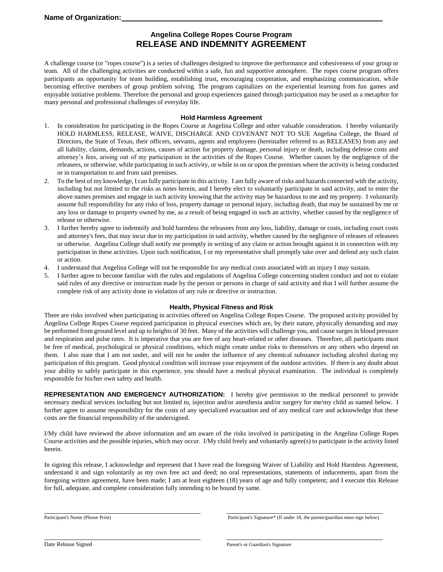## **Angelina College Ropes Course Program RELEASE AND INDEMNITY AGREEMENT**

A challenge course (or "ropes course") is a series of challenges designed to improve the performance and cohesiveness of your group or team. All of the challenging activities are conducted within a safe, fun and supportive atmosphere. The ropes course program offers participants an opportunity for team building, establishing trust, encouraging cooperation, and emphasizing communication, while becoming effective members of group problem solving. The program capitalizes on the experiential learning from fun games and enjoyable initiative problems. Therefore the personal and group experiences gained through participation may be used as a metaphor for many personal and professional challenges of everyday life.

#### **Hold Harmless Agreement**

- 1. In consideration for participating in the Ropes Course at Angelina College and other valuable consideration. I hereby voluntarily HOLD HARMLESS, RELEASE, WAIVE, DISCHARGE AND COVENANT NOT TO SUE Angelina College, the Board of Directors, the State of Texas, their officers, servants, agents and employees (hereinafter referred to as RELEASES) from any and all liability, claims, demands, actions, causes of action for property damage, personal injury or death, including defense costs and attorney's fees, arising out of my participation in the activities of the Ropes Course. Whether causes by the negligence of the releasees, or otherwise, while participating in such activity, or while in on or upon the premises where the activity is being conducted or in transportation to and from said premises.
- 2. To the best of my knowledge, I can fully participate in this activity. I am fully aware of risks and hazards connected with the activity, including but not limited to the risks as notes herein, and I hereby elect to voluntarily participate in said activity, and to enter the above names premises and engage in such activity knowing that the activity may be hazardous to me and my property. I voluntarily assume full responsibility for any risks of loss, property damage or personal injury, including death, that may be sustained by me or any loss or damage to property owned by me, as a result of being engaged in such an activity, whether caused by the negligence of release or otherwise.
- 3. I further hereby agree to indemnify and hold harmless the releasees from any loss, liability, damage or costs, including court costs and attorney's fees, that may incur due to my participation in said activity, whether caused by the negligence of releases of releasees or otherwise. Angelina College shall notify me promptly in writing of any claim or action brought against it in connection with my participation in these activities. Upon such notification, I or my representative shall promptly take over and defend any such claim or action.
- 4. I understand that Angelina College will not be responsible for any medical costs associated with an injury I may sustain.
- 5. I further agree to become familiar with the rules and regulations of Angelina College concerning student conduct and not to violate said rules of any directive or instruction made by the person or persons in charge of said activity and that I will further assume the complete risk of any activity done in violation of any rule or directive or instruction.

#### **Health, Physical Fitness and Risk**

There are risks involved when participating in activities offered on Angelina College Ropes Course. The proposed activity provided by Angelina College Ropes Course required participation in physical exercises which are, by their nature, physically demanding and may be performed from ground level and up to heights of 30 feet. Many of the activities will challenge you, and cause surges in blood pressure and respiration and pulse rates. It is imperative that you are free of any heart-related or other diseases. Therefore, all participants must be free of medical, psychological or physical conditions, which might create undue risks to themselves or any others who depend on them. I also state that I am not under, and will not be under the influence of any chemical substance including alcohol during my participation of this program. Good physical condition will increase your enjoyment of the outdoor activities. If there is any doubt about your ability to safely participate in this experience, you should have a medical physical examination. The individual is completely responsible for his/her own safety and health.

**REPRESENTATION AND EMERGENCY AUTHORIZATION:** I hereby give permission to the medical personnel to provide necessary medical services including but not limited to, injection and/or anesthesia and/or surgery for me/my child as named below. I further agree to assume responsibility for the costs of any specialized evacuation and of any medical care and acknowledge that these costs are the financial responsibility of the undersigned.

I/My child have reviewed the above information and am aware of the risks involved in participating in the Angelina College Ropes Course activities and the possible injuries, which may occur. I/My child freely and voluntarily agree(s) to participate in the activity listed herein.

In signing this release, I acknowledge and represent that I have read the foregoing Waiver of Liability and Hold Harmless Agreement, understand it and sign voluntarily as my own free act and deed; no oral representations, statements of inducements, apart from the foregoing written agreement, have been made; I am at least eighteen (18) years of age and fully competent; and I execute this Release for full, adequate, and complete consideration fully intending to be bound by same.

Participant's Name (Please Print) Participant's Signature\* (If under 18, the parent/guardian must sign below)

Date Release Signed Parent's or Guardian's Signature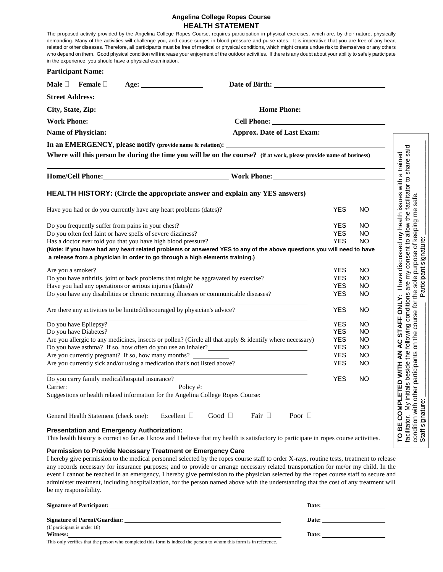### **Angelina College Ropes Course HEALTH STATEMENT**

|                                                                                     |  | in the experience, you should have a physical examination.  | The proposed activity provided by the Angelina College Ropes Course, requires participation in physical exercises, which are, by their nature, physically<br>demanding. Many of the activities will challenge you, and cause surges in blood pressure and pulse rates. It is imperative that you are free of any heart<br>related or other diseases. Therefore, all participants must be free of medical or physical conditions, which might create undue risk to themselves or any others<br>who depend on them. Good physical condition will increase your enjoyment of the outdoor activities. If there is any doubt about your ability to safely participate |             |             |                          |                        |                                                                                                                                                                                          |  |
|-------------------------------------------------------------------------------------|--|-------------------------------------------------------------|------------------------------------------------------------------------------------------------------------------------------------------------------------------------------------------------------------------------------------------------------------------------------------------------------------------------------------------------------------------------------------------------------------------------------------------------------------------------------------------------------------------------------------------------------------------------------------------------------------------------------------------------------------------|-------------|-------------|--------------------------|------------------------|------------------------------------------------------------------------------------------------------------------------------------------------------------------------------------------|--|
|                                                                                     |  |                                                             | Participant Name: 1988 and 2008 and 2008 and 2008 and 2008 and 2008 and 2008 and 2008 and 2008 and 2008 and 20                                                                                                                                                                                                                                                                                                                                                                                                                                                                                                                                                   |             |             |                          |                        |                                                                                                                                                                                          |  |
|                                                                                     |  | Male $\Box$ Female $\Box$ Age: $\Box$                       |                                                                                                                                                                                                                                                                                                                                                                                                                                                                                                                                                                                                                                                                  |             |             |                          |                        |                                                                                                                                                                                          |  |
|                                                                                     |  |                                                             |                                                                                                                                                                                                                                                                                                                                                                                                                                                                                                                                                                                                                                                                  |             |             |                          |                        |                                                                                                                                                                                          |  |
|                                                                                     |  |                                                             |                                                                                                                                                                                                                                                                                                                                                                                                                                                                                                                                                                                                                                                                  |             |             |                          |                        |                                                                                                                                                                                          |  |
| Work Phone: Cell Phone: Cell Phone: Cell Phone:                                     |  |                                                             |                                                                                                                                                                                                                                                                                                                                                                                                                                                                                                                                                                                                                                                                  |             |             |                          |                        |                                                                                                                                                                                          |  |
|                                                                                     |  |                                                             |                                                                                                                                                                                                                                                                                                                                                                                                                                                                                                                                                                                                                                                                  |             |             |                          |                        |                                                                                                                                                                                          |  |
|                                                                                     |  |                                                             |                                                                                                                                                                                                                                                                                                                                                                                                                                                                                                                                                                                                                                                                  |             |             |                          |                        |                                                                                                                                                                                          |  |
|                                                                                     |  |                                                             | Where will this person be during the time you will be on the course? (if at work, please provide name of business)                                                                                                                                                                                                                                                                                                                                                                                                                                                                                                                                               |             |             |                          |                        |                                                                                                                                                                                          |  |
|                                                                                     |  |                                                             |                                                                                                                                                                                                                                                                                                                                                                                                                                                                                                                                                                                                                                                                  |             |             |                          |                        |                                                                                                                                                                                          |  |
|                                                                                     |  |                                                             | <b>HEALTH HISTORY:</b> (Circle the appropriate answer and explain any YES answers)                                                                                                                                                                                                                                                                                                                                                                                                                                                                                                                                                                               |             |             |                          |                        | safe.                                                                                                                                                                                    |  |
| Have you had or do you currently have any heart problems (dates)?                   |  |                                                             |                                                                                                                                                                                                                                                                                                                                                                                                                                                                                                                                                                                                                                                                  |             |             | <b>YES</b>               | NO                     | allow the facilitator to share said<br>of keeping me                                                                                                                                     |  |
|                                                                                     |  | Do you frequently suffer from pains in your chest?          |                                                                                                                                                                                                                                                                                                                                                                                                                                                                                                                                                                                                                                                                  |             |             | <b>YES</b>               | <b>NO</b>              |                                                                                                                                                                                          |  |
|                                                                                     |  | Do you often feel faint or have spells of severe dizziness? |                                                                                                                                                                                                                                                                                                                                                                                                                                                                                                                                                                                                                                                                  |             |             | <b>YES</b>               | NO.                    |                                                                                                                                                                                          |  |
|                                                                                     |  |                                                             | Has a doctor ever told you that you have high blood pressure?<br>(Note: If you have had any heart related problems or answered YES to any of the above questions you will need to have<br>a release from a physician in order to go through a high elements training.)                                                                                                                                                                                                                                                                                                                                                                                           |             |             | <b>YES</b>               | <b>NO</b>              | AC STAFF ONLY: I have discussed my health issues with a trained<br>purpose of ke<br>ant signature:<br>following conditions are my consent to<br>on the course for the sole purpose of ke |  |
| Are you a smoker?                                                                   |  |                                                             |                                                                                                                                                                                                                                                                                                                                                                                                                                                                                                                                                                                                                                                                  |             |             | <b>YES</b>               | NO.                    | the sole purp<br>Participant s                                                                                                                                                           |  |
| Do you have arthritis, joint or back problems that might be aggravated by exercise? |  |                                                             |                                                                                                                                                                                                                                                                                                                                                                                                                                                                                                                                                                                                                                                                  |             |             | <b>YES</b>               | NO.                    |                                                                                                                                                                                          |  |
|                                                                                     |  | Have you had any operations or serious injuries (dates)?    | Do you have any disabilities or chronic recurring illnesses or communicable diseases?                                                                                                                                                                                                                                                                                                                                                                                                                                                                                                                                                                            |             |             | <b>YES</b><br><b>YES</b> | NO<br><b>NO</b>        |                                                                                                                                                                                          |  |
|                                                                                     |  |                                                             |                                                                                                                                                                                                                                                                                                                                                                                                                                                                                                                                                                                                                                                                  |             |             |                          |                        |                                                                                                                                                                                          |  |
|                                                                                     |  |                                                             | Are there any activities to be limited/discouraged by physician's advice?                                                                                                                                                                                                                                                                                                                                                                                                                                                                                                                                                                                        |             |             | <b>YES</b>               | <b>NO</b>              |                                                                                                                                                                                          |  |
| Do you have Epilepsy?                                                               |  |                                                             |                                                                                                                                                                                                                                                                                                                                                                                                                                                                                                                                                                                                                                                                  |             |             | <b>YES</b>               | NO.                    |                                                                                                                                                                                          |  |
| Do you have Diabetes?                                                               |  |                                                             |                                                                                                                                                                                                                                                                                                                                                                                                                                                                                                                                                                                                                                                                  |             |             | <b>YES</b><br><b>YES</b> | <b>NO</b><br><b>NO</b> |                                                                                                                                                                                          |  |
|                                                                                     |  |                                                             | Are you allergic to any medicines, insects or pollen? (Circle all that apply $\&$ identify where necessary)<br>Do you have asthma? If so, how often do you use an inhaler?                                                                                                                                                                                                                                                                                                                                                                                                                                                                                       |             |             | <b>YES</b>               | <b>NO</b>              |                                                                                                                                                                                          |  |
|                                                                                     |  |                                                             | Are you currently pregnant? If so, how many months?                                                                                                                                                                                                                                                                                                                                                                                                                                                                                                                                                                                                              |             |             | <b>YES</b>               | <b>NO</b>              | $\sum_{i=1}^{n} \alpha_i$<br>ίù.                                                                                                                                                         |  |
|                                                                                     |  |                                                             | Are you currently sick and/or using a medication that's not listed above?                                                                                                                                                                                                                                                                                                                                                                                                                                                                                                                                                                                        |             |             | <b>YES</b>               | <b>NO</b>              |                                                                                                                                                                                          |  |
|                                                                                     |  | Do you carry family medical/hospital insurance?             |                                                                                                                                                                                                                                                                                                                                                                                                                                                                                                                                                                                                                                                                  |             |             | <b>YES</b>               | <b>NO</b>              |                                                                                                                                                                                          |  |
| Carrier:                                                                            |  |                                                             | Policy #:                                                                                                                                                                                                                                                                                                                                                                                                                                                                                                                                                                                                                                                        |             |             |                          |                        |                                                                                                                                                                                          |  |
|                                                                                     |  |                                                             | Suggestions or health related information for the Angelina College Ropes Course:                                                                                                                                                                                                                                                                                                                                                                                                                                                                                                                                                                                 |             |             |                          |                        |                                                                                                                                                                                          |  |
| General Health Statement (check one):                                               |  |                                                             | Good $\Box$<br>Excellent $\square$                                                                                                                                                                                                                                                                                                                                                                                                                                                                                                                                                                                                                               | Fair $\Box$ | Poor $\Box$ |                          |                        |                                                                                                                                                                                          |  |
|                                                                                     |  | <b>Presentation and Emergency Authorization:</b>            | This health history is correct so far as I know and I believe that my health is satisfactory to participate in ropes course activities.                                                                                                                                                                                                                                                                                                                                                                                                                                                                                                                          |             |             |                          |                        | TO BE COMPLETED WITH AN<br>facilitator. My initials beside the<br>condition with other participants<br>Staff signature:                                                                  |  |
| be my responsibility.                                                               |  |                                                             | Permission to Provide Necessary Treatment or Emergency Care<br>I hereby give permission to the medical personnel selected by the ropes course staff to order X-rays, routine tests, treatment to release<br>any records necessary for insurance purposes; and to provide or arrange necessary related transportation for me/or my child. In the<br>event I cannot be reached in an emergency, I hereby give permission to the physician selected by the ropes course staff to secure and<br>administer treatment, including hospitalization, for the person named above with the understanding that the cost of any treatment will                               |             |             |                          |                        |                                                                                                                                                                                          |  |

| <b>Signature of Participant:</b>     | Date: |  |  |
|--------------------------------------|-------|--|--|
| <b>Signature of Parent/Guardian:</b> | Date: |  |  |
| (If participant is under 18)         |       |  |  |
| Witness:                             | Date: |  |  |
| .                                    |       |  |  |

This only verifies that the person who completed this form is indeed the person to whom this form is in reference.